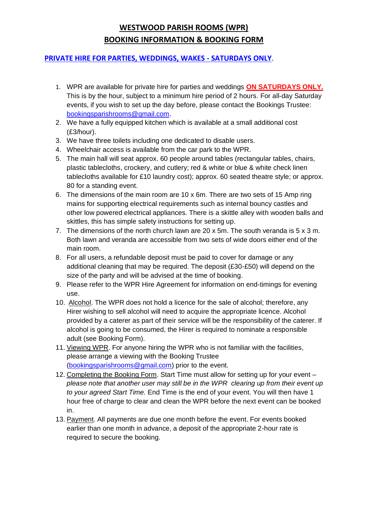# **WESTWOOD PARISH ROOMS (WPR) BOOKING INFORMATION & BOOKING FORM**

#### **PRIVATE HIRE FOR PARTIES, WEDDINGS, WAKES - SATURDAYS ONLY**.

- 1. WPR are available for private hire for parties and weddings **ON SATURDAYS ONLY.** This is by the hour, subject to a minimum hire period of 2 hours. For all-day Saturday events, if you wish to set up the day before, please contact the Bookings Trustee: [bookingsparishrooms@gmail.com.](mailto:bookingsparishrooms@gmail.com)
- 2. We have a fully equipped kitchen which is available at a small additional cost (£3/hour).
- 3. We have three toilets including one dedicated to disable users.
- 4. Wheelchair access is available from the car park to the WPR.
- 5. The main hall will seat approx. 60 people around tables (rectangular tables, chairs, plastic tablecloths, crockery, and cutlery; red & white or blue & white check linen tablecloths available for £10 laundry cost); approx. 60 seated theatre style; or approx. 80 for a standing event.
- 6. The dimensions of the main room are 10 x 6m. There are two sets of 15 Amp ring mains for supporting electrical requirements such as internal bouncy castles and other low powered electrical appliances. There is a skittle alley with wooden balls and skittles, this has simple safety instructions for setting up.
- 7. The dimensions of the north church lawn are 20 x 5m. The south veranda is 5 x 3 m. Both lawn and veranda are accessible from two sets of wide doors either end of the main room.
- 8. For all users, a refundable deposit must be paid to cover for damage or any additional cleaning that may be required. The deposit (£30-£50) will depend on the size of the party and will be advised at the time of booking.
- 9. Please refer to the WPR Hire Agreement for information on end-timings for evening use.
- 10. Alcohol. The WPR does not hold a licence for the sale of alcohol; therefore, any Hirer wishing to sell alcohol will need to acquire the appropriate licence. Alcohol provided by a caterer as part of their service will be the responsibility of the caterer. If alcohol is going to be consumed, the Hirer is required to nominate a responsible adult (see Booking Form).
- 11. Viewing WPR. For anyone hiring the WPR who is not familiar with the facilities, please arrange a viewing with the Booking Trustee [\(bookingsparishrooms@gmail.com\)](mailto:bookingsparishrooms@gmail.com) prior to the event.
- 12. Completing the Booking Form. Start Time must allow for setting up for your event *please note that another user may still be in the WPR clearing up from their event up to your agreed Start Time.* End Time is the end of your event. You will then have 1 hour free of charge to clear and clean the WPR before the next event can be booked in.
- 13. Payment. All payments are due one month before the event. For events booked earlier than one month in advance, a deposit of the appropriate 2-hour rate is required to secure the booking.